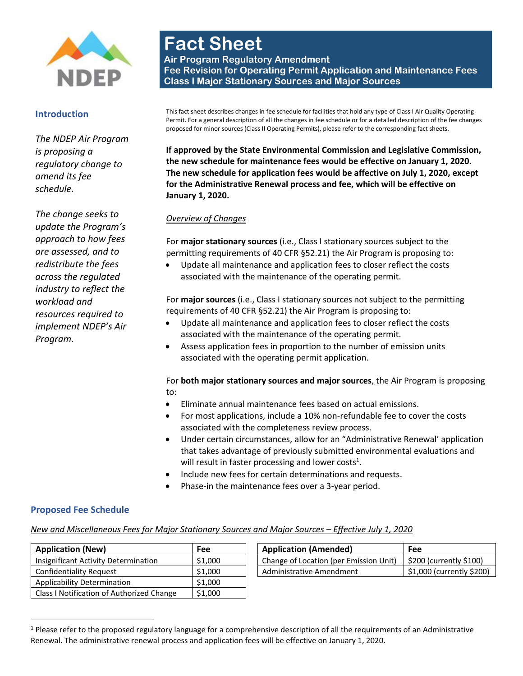

#### **Introduction**

*The NDEP Air Program is proposing a regulatory change to amend its fee schedule.* 

*The change seeks to update the Program's approach to how fees are assessed, and to redistribute the fees across the regulated industry to reflect the workload and resources required to implement NDEP's Air Program.* 

# **Fact Sheet Air Program Regulatory Amendment Fee Revision for Operating Permit Application and Maintenance Fees Class I Major Stationary Sources and Major Sources**

This fact sheet describes changes in fee schedule for facilities that hold any type of Class I Air Quality Operating Permit. For a general description of all the changes in fee schedule or for a detailed description of the fee changes proposed for minor sources (Class II Operating Permits), please refer to the corresponding fact sheets.

**If approved by the State Environmental Commission and Legislative Commission, the new schedule for maintenance fees would be effective on January 1, 2020. The new schedule for application fees would be affective on July 1, 2020, except for the Administrative Renewal process and fee, which will be effective on January 1, 2020.**

#### *Overview of Changes*

For **major stationary sources** (i.e., Class I stationary sources subject to the permitting requirements of 40 CFR §52.21) the Air Program is proposing to:

 Update all maintenance and application fees to closer reflect the costs associated with the maintenance of the operating permit.

For **major sources** (i.e., Class I stationary sources not subject to the permitting requirements of 40 CFR §52.21) the Air Program is proposing to:

- Update all maintenance and application fees to closer reflect the costs associated with the maintenance of the operating permit.
- Assess application fees in proportion to the number of emission units associated with the operating permit application.

For **both major stationary sources and major sources**, the Air Program is proposing to:

- Eliminate annual maintenance fees based on actual emissions.
- For most applications, include a 10% non-refundable fee to cover the costs associated with the completeness review process.
- Under certain circumstances, allow for an "Administrative Renewal' application that takes advantage of previously submitted environmental evaluations and will result in faster processing and lower costs<sup>1</sup>.
- Include new fees for certain determinations and requests.
- <span id="page-0-0"></span>Phase-in the maintenance fees over a 3-year period.

#### **Proposed Fee Schedule**

 $\overline{\phantom{a}}$ 

#### *New and Miscellaneous Fees for Major Stationary Sources and Major Sources – Effective July 1, 2020*

| <b>Application (New)</b>                  | Fee     | <b>Application (Amended)</b>           | Fee   |
|-------------------------------------------|---------|----------------------------------------|-------|
| Insignificant Activity Determination      | \$1,000 | Change of Location (per Emission Unit) | \$20  |
| <b>Confidentiality Request</b>            | \$1,000 | Administrative Amendment               | \$1,0 |
| Applicability Determination               | \$1,000 |                                        |       |
| Class I Notification of Authorized Change | \$1,000 |                                        |       |

| <b>Application (New)</b>             | Fee     | <b>Application (Amended)</b>           | <b>Fee</b>                |
|--------------------------------------|---------|----------------------------------------|---------------------------|
| Insignificant Activity Determination | \$1,000 | Change of Location (per Emission Unit) | \$200 (currently \$100)   |
| Confidentiality Request              | \$1,000 | Administrative Amendment               | \$1,000 (currently \$200) |

 $1$  Please refer to the proposed regulatory language for a comprehensive description of all the requirements of an Administrative Renewal. The administrative renewal process and application fees will be effective on January 1, 2020.